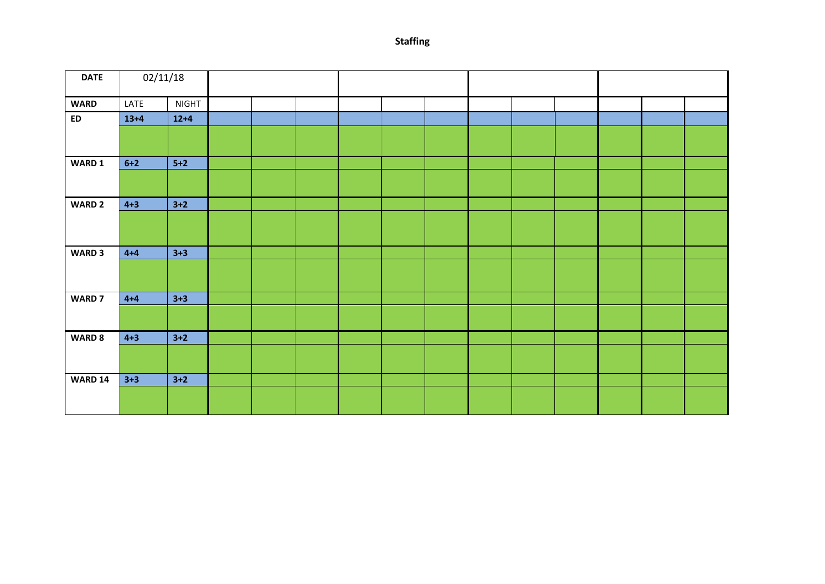**Staffing** 

| <b>DATE</b>    | 02/11/18 |              |  |  |  |  |  |  |  |  |  |  |
|----------------|----------|--------------|--|--|--|--|--|--|--|--|--|--|
| <b>WARD</b>    | LATE     | <b>NIGHT</b> |  |  |  |  |  |  |  |  |  |  |
| ED             | $13 + 4$ | $12+4$       |  |  |  |  |  |  |  |  |  |  |
|                |          |              |  |  |  |  |  |  |  |  |  |  |
| WARD 1         | $6 + 2$  | $5+2$        |  |  |  |  |  |  |  |  |  |  |
|                |          |              |  |  |  |  |  |  |  |  |  |  |
| <b>WARD 2</b>  | $4 + 3$  | $3+2$        |  |  |  |  |  |  |  |  |  |  |
|                |          |              |  |  |  |  |  |  |  |  |  |  |
| <b>WARD 3</b>  | $4+4$    | $3 + 3$      |  |  |  |  |  |  |  |  |  |  |
|                |          |              |  |  |  |  |  |  |  |  |  |  |
| <b>WARD 7</b>  | $4+4$    | $3 + 3$      |  |  |  |  |  |  |  |  |  |  |
|                |          |              |  |  |  |  |  |  |  |  |  |  |
| <b>WARD 8</b>  | $4 + 3$  | $3+2$        |  |  |  |  |  |  |  |  |  |  |
|                |          |              |  |  |  |  |  |  |  |  |  |  |
| <b>WARD 14</b> | $3 + 3$  | $3+2$        |  |  |  |  |  |  |  |  |  |  |
|                |          |              |  |  |  |  |  |  |  |  |  |  |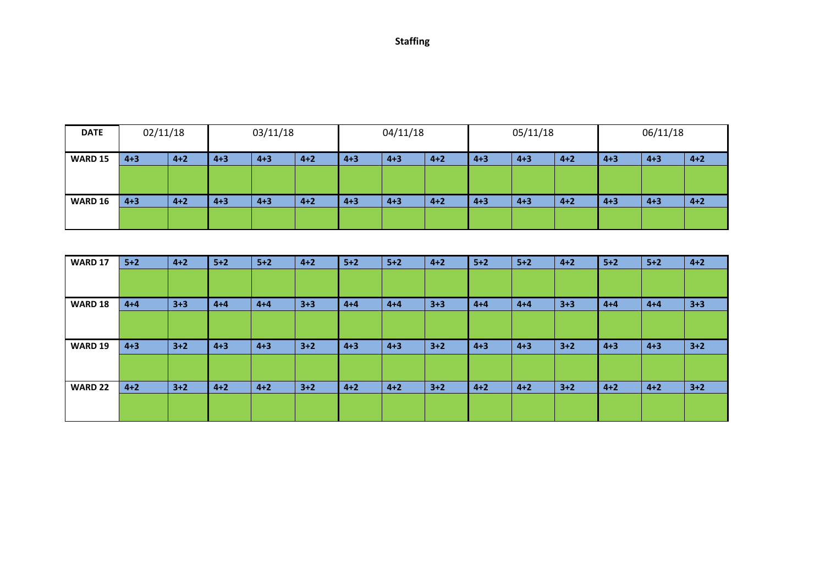| <b>Staffing</b> |
|-----------------|
|-----------------|

| <b>DATE</b>    | 02/11/18 |         | 03/11/18 |         |         | 04/11/18 |         |         | 05/11/18 |         |         | 06/11/18 |         |         |
|----------------|----------|---------|----------|---------|---------|----------|---------|---------|----------|---------|---------|----------|---------|---------|
| <b>WARD 15</b> | $4 + 3$  | $4 + 2$ | $4 + 3$  | $4 + 3$ | $4 + 2$ | $4 + 3$  | $4 + 3$ | $4 + 2$ | $4 + 3$  | $4 + 3$ | $4 + 2$ | $4 + 3$  | $4 + 3$ | $4 + 2$ |
|                |          |         |          |         |         |          |         |         |          |         |         |          |         |         |
| <b>WARD 16</b> | $4 + 3$  | $4 + 2$ | $4 + 3$  | $4 + 3$ | $4 + 2$ | $4 + 3$  | $4 + 3$ | $4 + 2$ | $4 + 3$  | $4 + 3$ | $4 + 2$ | $4 + 3$  | $4 + 3$ | $4 + 2$ |
|                |          |         |          |         |         |          |         |         |          |         |         |          |         |         |

| <b>WARD 17</b> | $5+2$   | $4 + 2$ | $5+2$   | $5+2$   | $4 + 2$ | $5+2$   | $5+2$   | $4 + 2$ | $5+2$   | $5+2$   | $4 + 2$ | $5+2$   | $5+2$   | $4 + 2$ |
|----------------|---------|---------|---------|---------|---------|---------|---------|---------|---------|---------|---------|---------|---------|---------|
|                |         |         |         |         |         |         |         |         |         |         |         |         |         |         |
|                |         |         |         |         |         |         |         |         |         |         |         |         |         |         |
| <b>WARD 18</b> | $4 + 4$ | $3 + 3$ | $4 + 4$ | $4 + 4$ | $3 + 3$ | $4 + 4$ | $4 + 4$ | $3 + 3$ | $4 + 4$ | $4 + 4$ | $3 + 3$ | $4 + 4$ | $4 + 4$ | $3 + 3$ |
|                |         |         |         |         |         |         |         |         |         |         |         |         |         |         |
| <b>WARD 19</b> | $4 + 3$ | $3+2$   | $4 + 3$ | $4 + 3$ | $3 + 2$ | $4 + 3$ | $4 + 3$ | $3 + 2$ | $4 + 3$ | $4 + 3$ | $3+2$   | $4 + 3$ | $4 + 3$ | $3+2$   |
|                |         |         |         |         |         |         |         |         |         |         |         |         |         |         |
| <b>WARD 22</b> | $4 + 2$ | $3+2$   | $4 + 2$ | $4 + 2$ | $3 + 2$ | $4 + 2$ | $4 + 2$ | $3 + 2$ | $4 + 2$ | $4 + 2$ | $3+2$   | $4 + 2$ | $4 + 2$ | $3+2$   |
|                |         |         |         |         |         |         |         |         |         |         |         |         |         |         |